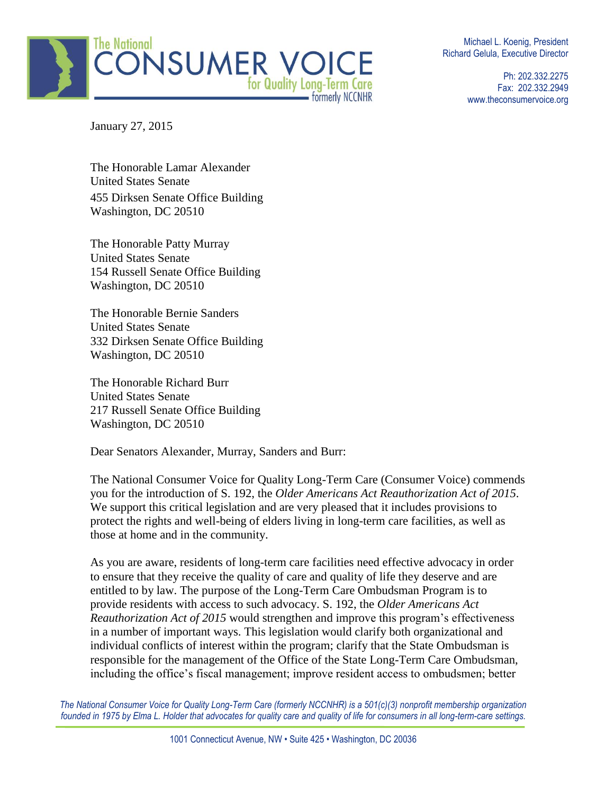

Michael L. Koenig, President Richard Gelula, Executive Director

> Ph: 202.332.2275 Fax: 202.332.2949 www.theconsumervoice.org

January 27, 2015

The Honorable Lamar Alexander United States Senate 455 Dirksen Senate Office Building Washington, DC 20510

The Honorable Patty Murray United States Senate 154 Russell Senate Office Building Washington, DC 20510

The Honorable Bernie Sanders United States Senate 332 Dirksen Senate Office Building Washington, DC 20510

The Honorable Richard Burr United States Senate 217 Russell Senate Office Building Washington, DC 20510

Dear Senators Alexander, Murray, Sanders and Burr:

The National Consumer Voice for Quality Long-Term Care (Consumer Voice) commends you for the introduction of S. 192, the *Older Americans Act Reauthorization Act of 2015*. We support this critical legislation and are very pleased that it includes provisions to protect the rights and well-being of elders living in long-term care facilities, as well as those at home and in the community.

As you are aware, residents of long-term care facilities need effective advocacy in order to ensure that they receive the quality of care and quality of life they deserve and are entitled to by law. The purpose of the Long-Term Care Ombudsman Program is to provide residents with access to such advocacy. S. 192, the *Older Americans Act Reauthorization Act of 2015* would strengthen and improve this program's effectiveness in a number of important ways. This legislation would clarify both organizational and individual conflicts of interest within the program; clarify that the State Ombudsman is responsible for the management of the Office of the State Long-Term Care Ombudsman, including the office's fiscal management; improve resident access to ombudsmen; better

*The National Consumer Voice for Quality Long-Term Care (formerly NCCNHR) is a 501(c)(3) nonprofit membership organization* founded in 1975 by Elma L. Holder that advocates for quality care and quality of life for consumers in all long-term-care settings.